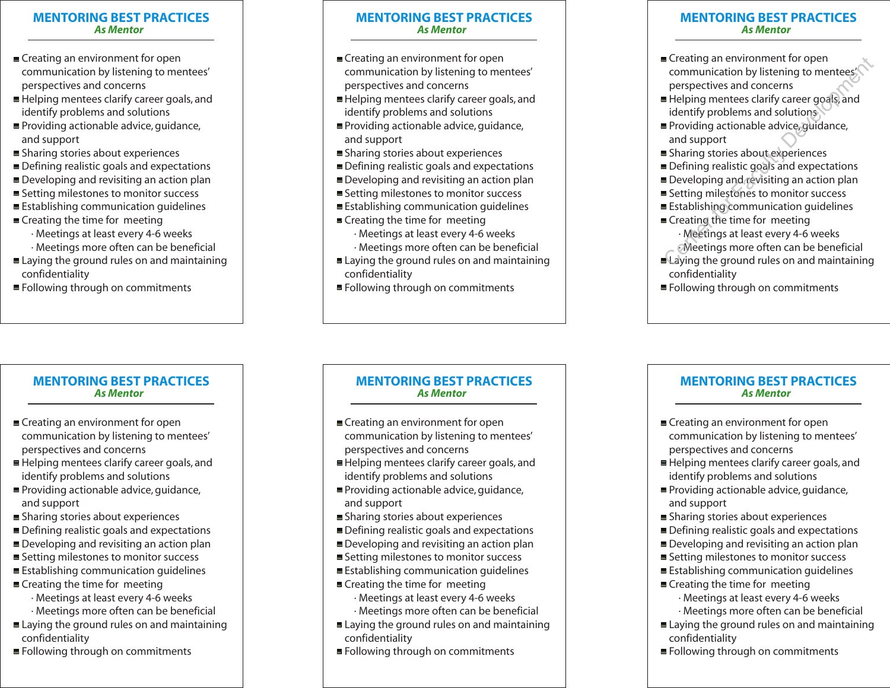## **MENTORING BEST PRACTICES** *As Mentor*

- Creating an environment for open communication by listening to mentees' perspectives and concerns <del>■</del> Creating an environment for open<br>
communication by listening to mentees<br>
perspectives and concerns<br>
■ Helping mentees clarify career goals, and<br>
identify problems and solutions<br>
■ Providing actionable advice, guidance
- Helping mentees clarify career goals, and identify problems and solutions
- Providing actionable advice, guidance, and support
- Sharing stories about experiences
- Defining realistic goals and expectations
- Developing and revisiting an action plan
- Setting milestones to monitor success
- Establishing communication quidelines
- Creating the time for meeting
	- · Meetings at least every 4-6 weeks
	- · Meetings more often can be beneficial
- Laying the ground rules on and maintaining confidentiality
- Following through on commitments